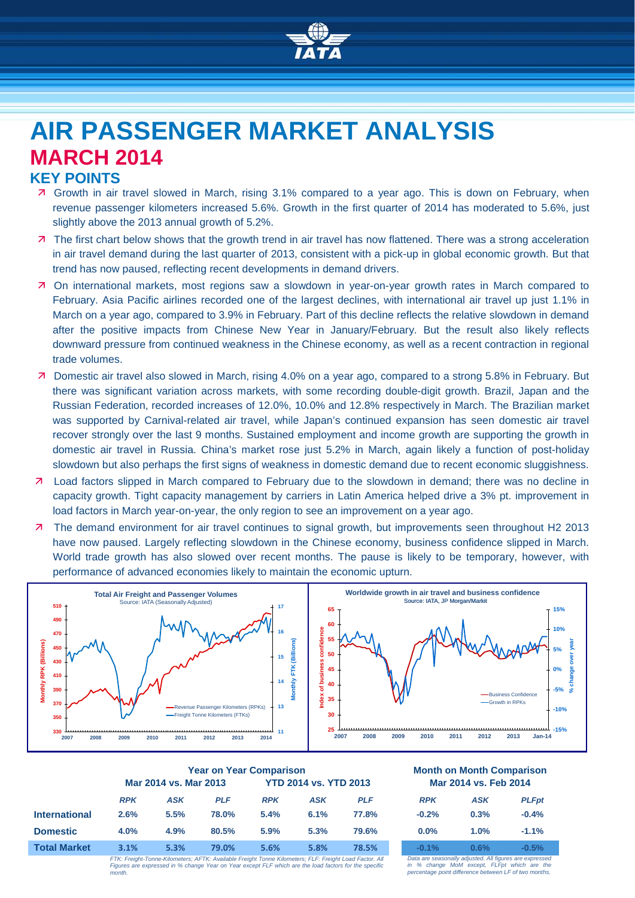

# **AIR PASSENGER MARKET ANALYSIS MARCH 2014**

## **KEY POINTS**

- Growth in air travel slowed in March, rising 3.1% compared to a year ago. This is down on February, when revenue passenger kilometers increased 5.6%. Growth in the first quarter of 2014 has moderated to 5.6%, just slightly above the 2013 annual growth of 5.2%.
- 7 The first chart below shows that the growth trend in air travel has now flattened. There was a strong acceleration in air travel demand during the last quarter of 2013, consistent with a pick-up in global economic growth. But that trend has now paused, reflecting recent developments in demand drivers.
- On international markets, most regions saw a slowdown in year-on-year growth rates in March compared to February. Asia Pacific airlines recorded one of the largest declines, with international air travel up just 1.1% in March on a year ago, compared to 3.9% in February. Part of this decline reflects the relative slowdown in demand after the positive impacts from Chinese New Year in January/February. But the result also likely reflects downward pressure from continued weakness in the Chinese economy, as well as a recent contraction in regional trade volumes.
- Domestic air travel also slowed in March, rising 4.0% on a year ago, compared to a strong 5.8% in February. But there was significant variation across markets, with some recording double-digit growth. Brazil, Japan and the Russian Federation, recorded increases of 12.0%, 10.0% and 12.8% respectively in March. The Brazilian market was supported by Carnival-related air travel, while Japan's continued expansion has seen domestic air travel recover strongly over the last 9 months. Sustained employment and income growth are supporting the growth in domestic air travel in Russia. China's market rose just 5.2% in March, again likely a function of post-holiday slowdown but also perhaps the first signs of weakness in domestic demand due to recent economic sluggishness.
- **7** Load factors slipped in March compared to February due to the slowdown in demand; there was no decline in capacity growth. Tight capacity management by carriers in Latin America helped drive a 3% pt. improvement in load factors in March year-on-year, the only region to see an improvement on a year ago.
- The demand environment for air travel continues to signal growth, but improvements seen throughout H2 2013 have now paused. Largely reflecting slowdown in the Chinese economy, business confidence slipped in March. World trade growth has also slowed over recent months. The pause is likely to be temporary, however, with performance of advanced economies likely to maintain the economic upturn.



|                      | <b>Year on Year Comparison</b>                                                                         |            |            |                              |            |            | <b>Month on Month Comparisor</b><br>Mar 2014 vs. Feb 2014 |            |             |
|----------------------|--------------------------------------------------------------------------------------------------------|------------|------------|------------------------------|------------|------------|-----------------------------------------------------------|------------|-------------|
|                      | Mar 2014 vs. Mar 2013                                                                                  |            |            | <b>YTD 2014 vs. YTD 2013</b> |            |            |                                                           |            |             |
|                      | <b>RPK</b>                                                                                             | <b>ASK</b> | <b>PLF</b> | <b>RPK</b>                   | <b>ASK</b> | <b>PLF</b> | <b>RPK</b>                                                | <b>ASK</b> | <b>PLFp</b> |
| <b>International</b> | 2.6%                                                                                                   | 5.5%       | 78.0%      | 5.4%                         | 6.1%       | 77.8%      | $-0.2%$                                                   | 0.3%       | $-0.4%$     |
| <b>Domestic</b>      | 4.0%                                                                                                   | 4.9%       | 80.5%      | 5.9%                         | 5.3%       | 79.6%      | $0.0\%$                                                   | $1.0\%$    | $-1.1%$     |
| <b>Total Market</b>  | 3.1%                                                                                                   | 5.3%       | 79.0%      | 5.6%                         | 5.8%       | 78.5%      | $-0.1%$                                                   | 0.6%       | $-0.5%$     |
|                      | ETK: Ergight-Tonne-Kilometers: AETK: Available Ergight Tonne Kilometers: ELE: Ergight Load Eactor, All |            |            |                              |            |            | Data are seasonally adjusted All figures are expres       |            |             |

*FTK: Freight-Tonne-Kilometers; AFTK: Available Freight Tonne Kilometers; FLF: Freight Load Factor. All Figures are expressed in % change Year on Year except FLF which are the load factors for the specific month.*

#### **Year on Year Comparison Month on Month Comparison Mar 2014 vs. Feb 2014**

| <b>RPK</b> | <b>ASK</b> | <b>PLFpt</b> |
|------------|------------|--------------|
| $-0.2%$    | 0.3%       | $-0.4%$      |
| 0.0%       | 1.0%       | $-1.1%$      |
| $-0.1%$    | 0.6%       | $-0.5%$      |

*Data are seasonally adjusted. All figures are expressed in % change MoM except, FLFpt which are the percentage point difference between LF of two months.*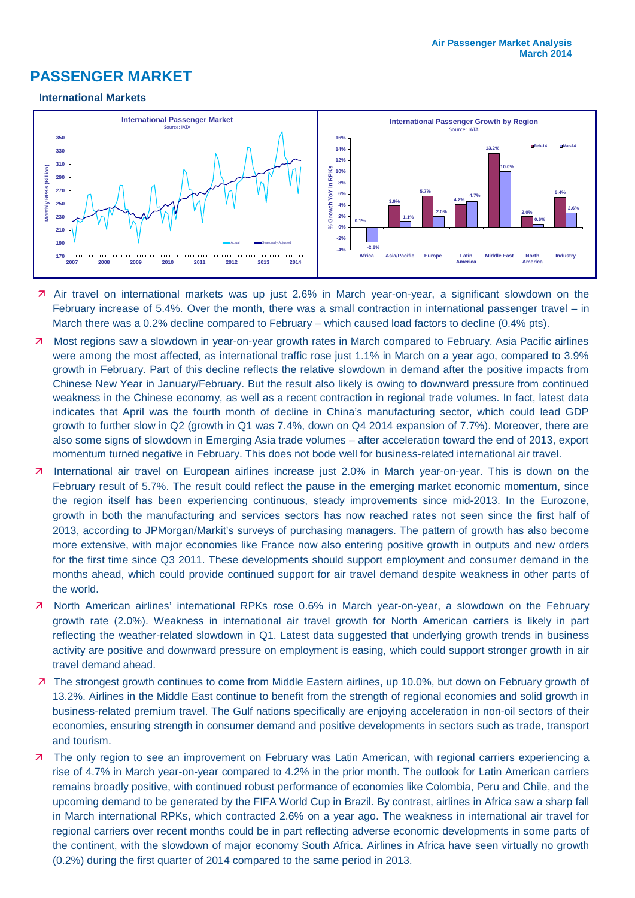# **PASSENGER MARKET**

#### **International Markets**



- **7** Air travel on international markets was up just 2.6% in March year-on-year, a significant slowdown on the February increase of 5.4%. Over the month, there was a small contraction in international passenger travel – in March there was a 0.2% decline compared to February – which caused load factors to decline (0.4% pts).
- Most regions saw a slowdown in year-on-year growth rates in March compared to February. Asia Pacific airlines were among the most affected, as international traffic rose just 1.1% in March on a year ago, compared to 3.9% growth in February. Part of this decline reflects the relative slowdown in demand after the positive impacts from Chinese New Year in January/February. But the result also likely is owing to downward pressure from continued weakness in the Chinese economy, as well as a recent contraction in regional trade volumes. In fact, latest data indicates that April was the fourth month of decline in China's manufacturing sector, which could lead GDP growth to further slow in Q2 (growth in Q1 was 7.4%, down on Q4 2014 expansion of 7.7%). Moreover, there are also some signs of slowdown in Emerging Asia trade volumes – after acceleration toward the end of 2013, export momentum turned negative in February. This does not bode well for business-related international air travel.
- 7 International air travel on European airlines increase just 2.0% in March year-on-year. This is down on the February result of 5.7%. The result could reflect the pause in the emerging market economic momentum, since the region itself has been experiencing continuous, steady improvements since mid-2013. In the Eurozone, growth in both the manufacturing and services sectors has now reached rates not seen since the first half of 2013, according to JPMorgan/Markit's surveys of purchasing managers. The pattern of growth has also become more extensive, with major economies like France now also entering positive growth in outputs and new orders for the first time since Q3 2011. These developments should support employment and consumer demand in the months ahead, which could provide continued support for air travel demand despite weakness in other parts of the world.
- 7 North American airlines' international RPKs rose 0.6% in March year-on-year, a slowdown on the February growth rate (2.0%). Weakness in international air travel growth for North American carriers is likely in part reflecting the weather-related slowdown in Q1. Latest data suggested that underlying growth trends in business activity are positive and downward pressure on employment is easing, which could support stronger growth in air travel demand ahead.
- 7 The strongest growth continues to come from Middle Eastern airlines, up 10.0%, but down on February growth of 13.2%. Airlines in the Middle East continue to benefit from the strength of regional economies and solid growth in business-related premium travel. The Gulf nations specifically are enjoying acceleration in non-oil sectors of their economies, ensuring strength in consumer demand and positive developments in sectors such as trade, transport and tourism.
- 7 The only region to see an improvement on February was Latin American, with regional carriers experiencing a rise of 4.7% in March year-on-year compared to 4.2% in the prior month. The outlook for Latin American carriers remains broadly positive, with continued robust performance of economies like Colombia, Peru and Chile, and the upcoming demand to be generated by the FIFA World Cup in Brazil. By contrast, airlines in Africa saw a sharp fall in March international RPKs, which contracted 2.6% on a year ago. The weakness in international air travel for regional carriers over recent months could be in part reflecting adverse economic developments in some parts of the continent, with the slowdown of major economy South Africa. Airlines in Africa have seen virtually no growth (0.2%) during the first quarter of 2014 compared to the same period in 2013.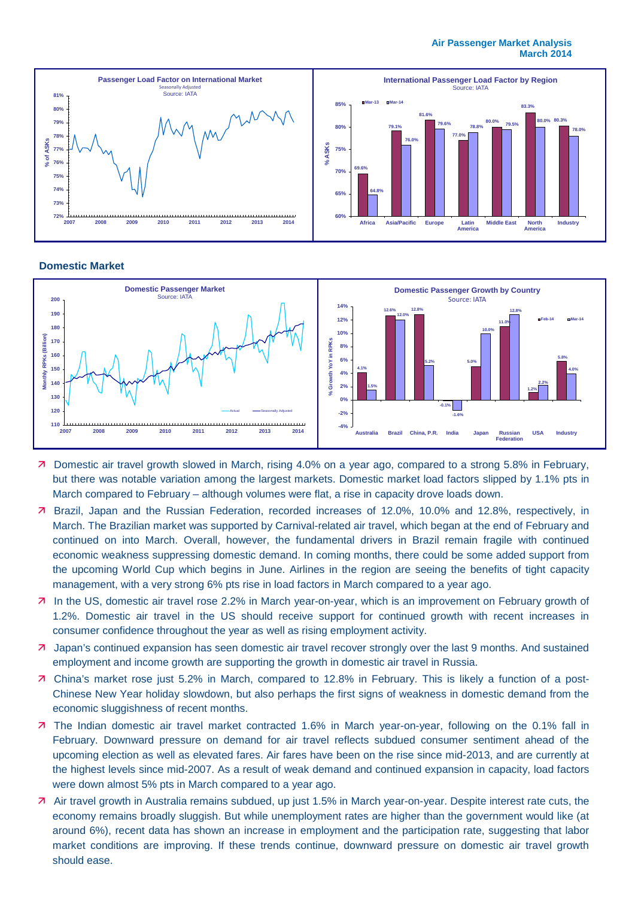

#### **Domestic Market**



- Domestic air travel growth slowed in March, rising 4.0% on a year ago, compared to a strong 5.8% in February, but there was notable variation among the largest markets. Domestic market load factors slipped by 1.1% pts in March compared to February – although volumes were flat, a rise in capacity drove loads down.
- Brazil, Japan and the Russian Federation, recorded increases of 12.0%, 10.0% and 12.8%, respectively, in March. The Brazilian market was supported by Carnival-related air travel, which began at the end of February and continued on into March. Overall, however, the fundamental drivers in Brazil remain fragile with continued economic weakness suppressing domestic demand. In coming months, there could be some added support from the upcoming World Cup which begins in June. Airlines in the region are seeing the benefits of tight capacity management, with a very strong 6% pts rise in load factors in March compared to a year ago.
- In the US, domestic air travel rose 2.2% in March year-on-year, which is an improvement on February growth of 1.2%. Domestic air travel in the US should receive support for continued growth with recent increases in consumer confidence throughout the year as well as rising employment activity.
- 7 Japan's continued expansion has seen domestic air travel recover strongly over the last 9 months. And sustained employment and income growth are supporting the growth in domestic air travel in Russia.
- China's market rose just 5.2% in March, compared to 12.8% in February. This is likely a function of a post-Chinese New Year holiday slowdown, but also perhaps the first signs of weakness in domestic demand from the economic sluggishness of recent months.
- 7 The Indian domestic air travel market contracted 1.6% in March year-on-year, following on the 0.1% fall in February. Downward pressure on demand for air travel reflects subdued consumer sentiment ahead of the upcoming election as well as elevated fares. Air fares have been on the rise since mid-2013, and are currently at the highest levels since mid-2007. As a result of weak demand and continued expansion in capacity, load factors were down almost 5% pts in March compared to a year ago.
- Air travel growth in Australia remains subdued, up just 1.5% in March year-on-year. Despite interest rate cuts, the economy remains broadly sluggish. But while unemployment rates are higher than the government would like (at around 6%), recent data has shown an increase in employment and the participation rate, suggesting that labor market conditions are improving. If these trends continue, downward pressure on domestic air travel growth should ease.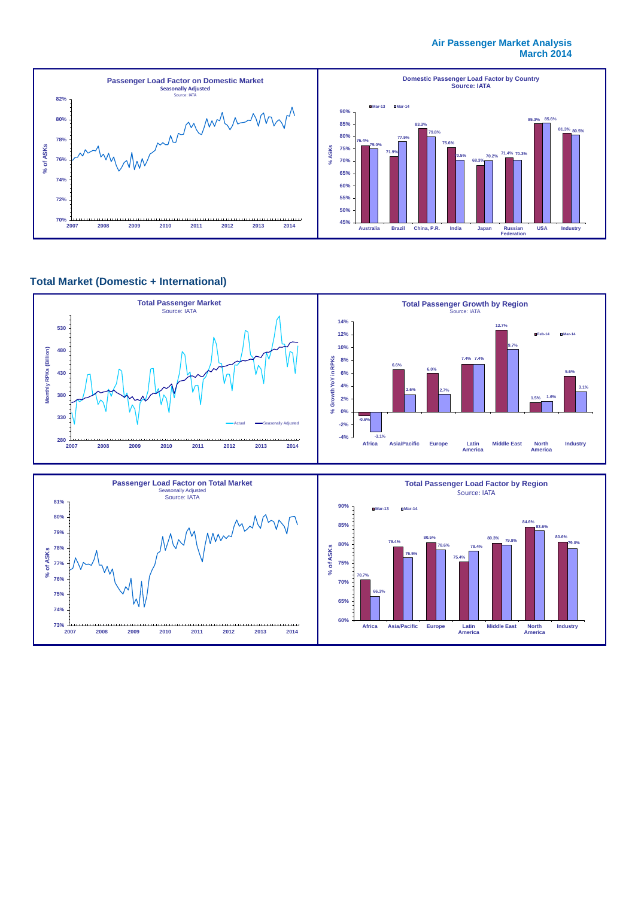#### **Air Passenger Market Analysis March 2014**



## **Total Market (Domestic + International)**

**2007 2008 2009 2010 2011 2012 2013 2014**

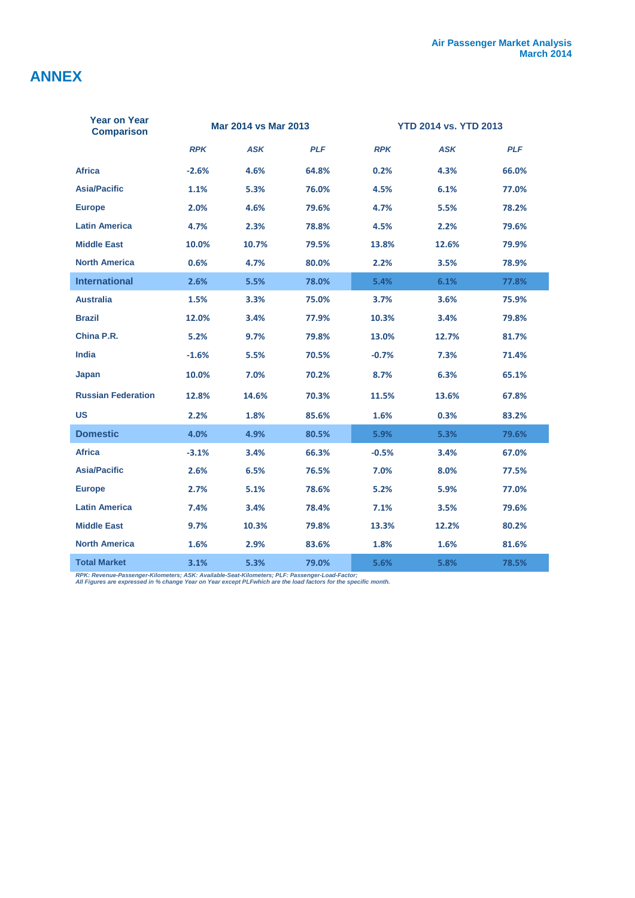# **ANNEX**

I

| Year on Year<br><b>Comparison</b> | Mar 2014 vs Mar 2013 |            | <b>YTD 2014 vs. YTD 2013</b> |            |            |            |
|-----------------------------------|----------------------|------------|------------------------------|------------|------------|------------|
|                                   | <b>RPK</b>           | <b>ASK</b> | <b>PLF</b>                   | <b>RPK</b> | <b>ASK</b> | <b>PLF</b> |
| <b>Africa</b>                     | $-2.6%$              | 4.6%       | 64.8%                        | 0.2%       | 4.3%       | 66.0%      |
| <b>Asia/Pacific</b>               | 1.1%                 | 5.3%       | 76.0%                        | 4.5%       | 6.1%       | 77.0%      |
| <b>Europe</b>                     | 2.0%                 | 4.6%       | 79.6%                        | 4.7%       | 5.5%       | 78.2%      |
| <b>Latin America</b>              | 4.7%                 | 2.3%       | 78.8%                        | 4.5%       | 2.2%       | 79.6%      |
| <b>Middle East</b>                | 10.0%                | 10.7%      | 79.5%                        | 13.8%      | 12.6%      | 79.9%      |
| <b>North America</b>              | 0.6%                 | 4.7%       | 80.0%                        | 2.2%       | 3.5%       | 78.9%      |
| <b>International</b>              | 2.6%                 | 5.5%       | 78.0%                        | 5.4%       | 6.1%       | 77.8%      |
| <b>Australia</b>                  | 1.5%                 | 3.3%       | 75.0%                        | 3.7%       | 3.6%       | 75.9%      |
| <b>Brazil</b>                     | 12.0%                | 3.4%       | 77.9%                        | 10.3%      | 3.4%       | 79.8%      |
| China P.R.                        | 5.2%                 | 9.7%       | 79.8%                        | 13.0%      | 12.7%      | 81.7%      |
| <b>India</b>                      | $-1.6%$              | 5.5%       | 70.5%                        | $-0.7%$    | 7.3%       | 71.4%      |
| Japan                             | 10.0%                | 7.0%       | 70.2%                        | 8.7%       | 6.3%       | 65.1%      |
| <b>Russian Federation</b>         | 12.8%                | 14.6%      | 70.3%                        | 11.5%      | 13.6%      | 67.8%      |
| <b>US</b>                         | 2.2%                 | 1.8%       | 85.6%                        | 1.6%       | 0.3%       | 83.2%      |
| <b>Domestic</b>                   | 4.0%                 | 4.9%       | 80.5%                        | 5.9%       | 5.3%       | 79.6%      |
| <b>Africa</b>                     | $-3.1%$              | 3.4%       | 66.3%                        | $-0.5%$    | 3.4%       | 67.0%      |
| <b>Asia/Pacific</b>               | 2.6%                 | 6.5%       | 76.5%                        | 7.0%       | 8.0%       | 77.5%      |
| <b>Europe</b>                     | 2.7%                 | 5.1%       | 78.6%                        | 5.2%       | 5.9%       | 77.0%      |
| <b>Latin America</b>              | 7.4%                 | 3.4%       | 78.4%                        | 7.1%       | 3.5%       | 79.6%      |
| <b>Middle East</b>                | 9.7%                 | 10.3%      | 79.8%                        | 13.3%      | 12.2%      | 80.2%      |
| <b>North America</b>              | 1.6%                 | 2.9%       | 83.6%                        | 1.8%       | 1.6%       | 81.6%      |
| <b>Total Market</b>               | 3.1%                 | 5.3%       | 79.0%                        | 5.6%       | 5.8%       | 78.5%      |

*RPK: Revenue-Passenger-Kilometers; ASK: Available-Seat-Kilometers; PLF: Passenger-Load-Factor; All Figures are expressed in % change Year on Year except PLFwhich are the load factors for the specific month.*